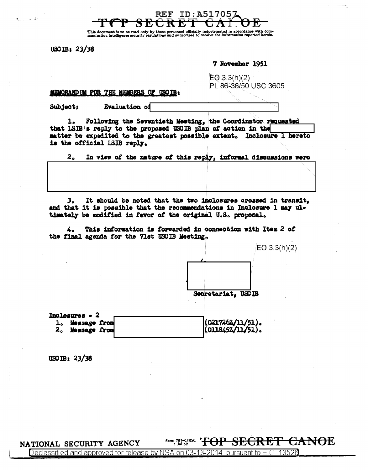This document is to be read only by those personnel officially<br>munication intelligence security regulations and authorized to inated in accordance with com-<br>the information reported herein.

<del>SECRET</del>

**REF ID:A517057** 

 $USCIB: 23/38$ 

دی<br>منابہ اس سا

7 November 1951

MEMORAND UM FOR THE MEMBERS OF USCIB:

 $EO(3.3(h)(2)$ PL 86-36/50 USC 3605

Evaluation of Subject:

Following the Seventisth Meeting, the Coordinator requested  $\mathbf{1}_{\alpha}$ that LSIB's reply to the proposed USCIB plan of action in the matter be expedited to the greatest possible extent. Inclosure 1 hereto is the official LSIB reply.

 $2<sub>a</sub>$ In view of the nature of this reply, informal discussions were

It should be noted that the two inclosures crossed in transit,  $3<sub>a</sub>$ and that it is possible that the recommendations in Inclosure 1 may ultimately be modified in favor of the original U.S. proposal.

This information is forwarded in connection with Item 2 of 4. the final agenda for the 71st USCIB Meeting.



 $USCIB: 23/38$ 

NATIONAL SECURITY AGENCY

**Form, 781-C10ss** TOP SECRET CANOE

Declassified and approved for release by NSA on 03-13-2014 pursuant to E.O. 13526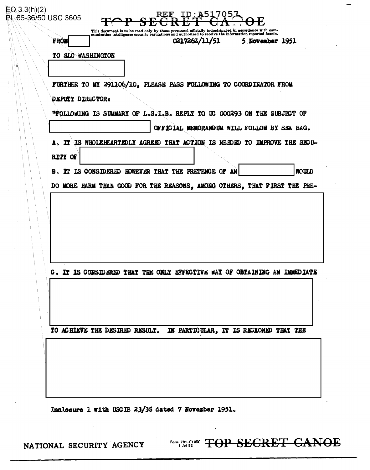|  | <b>FROM</b>                                                                                                                      |                                                                    |  | This document is to be read only by those personnel officially indoctrinated in accordance with com-munication intelligence security regulations and authorized to receive the information reported herein.<br>0217262/11/51 |  | 5 November 1951 |  |
|--|----------------------------------------------------------------------------------------------------------------------------------|--------------------------------------------------------------------|--|------------------------------------------------------------------------------------------------------------------------------------------------------------------------------------------------------------------------------|--|-----------------|--|
|  | TO SLO WASHINGTON                                                                                                                |                                                                    |  |                                                                                                                                                                                                                              |  |                 |  |
|  |                                                                                                                                  |                                                                    |  |                                                                                                                                                                                                                              |  |                 |  |
|  |                                                                                                                                  | FURTHER TO MY 291106/10, PLEASE PASS FOLLOWING TO COORDINATOR FROM |  |                                                                                                                                                                                                                              |  |                 |  |
|  | DEPUTY DIRECTOR:<br>"FOLLOWING IS SUMMARY OF L.S.I.B. REPLY TO UC 000293 ON THE SUBJECT OF                                       |                                                                    |  |                                                                                                                                                                                                                              |  |                 |  |
|  |                                                                                                                                  |                                                                    |  |                                                                                                                                                                                                                              |  |                 |  |
|  |                                                                                                                                  | OFFICIAL MEMORANDUM WILL FOLLOW BY SEA BAG.                        |  |                                                                                                                                                                                                                              |  |                 |  |
|  |                                                                                                                                  |                                                                    |  | A. IT IS WHOLEHEARTEDLY AGREED THAT ACTION IS NEEDED TO IMPROVE THE SECU-                                                                                                                                                    |  |                 |  |
|  | RITY OF                                                                                                                          |                                                                    |  |                                                                                                                                                                                                                              |  |                 |  |
|  |                                                                                                                                  |                                                                    |  |                                                                                                                                                                                                                              |  | <b>HOULD</b>    |  |
|  | B. IT IS CONSIDERED HOWEVER THAT THE PRETENCE OF AN<br>DO MORE HARM THAN GOOD FOR THE REASONS, AMONG OTHERS, THAT FIRST THE PRE- |                                                                    |  |                                                                                                                                                                                                                              |  |                 |  |
|  |                                                                                                                                  |                                                                    |  |                                                                                                                                                                                                                              |  |                 |  |
|  |                                                                                                                                  |                                                                    |  |                                                                                                                                                                                                                              |  |                 |  |
|  |                                                                                                                                  |                                                                    |  |                                                                                                                                                                                                                              |  |                 |  |
|  |                                                                                                                                  |                                                                    |  |                                                                                                                                                                                                                              |  |                 |  |
|  |                                                                                                                                  |                                                                    |  |                                                                                                                                                                                                                              |  |                 |  |
|  |                                                                                                                                  |                                                                    |  |                                                                                                                                                                                                                              |  |                 |  |
|  |                                                                                                                                  |                                                                    |  |                                                                                                                                                                                                                              |  |                 |  |
|  |                                                                                                                                  |                                                                    |  |                                                                                                                                                                                                                              |  |                 |  |
|  |                                                                                                                                  |                                                                    |  | C. IT IS CONSIDERED THAT THE ONLY EFFECTIVE WAY OF OBTAINING AN IMMEDIATE                                                                                                                                                    |  |                 |  |
|  |                                                                                                                                  |                                                                    |  |                                                                                                                                                                                                                              |  |                 |  |
|  |                                                                                                                                  |                                                                    |  |                                                                                                                                                                                                                              |  |                 |  |
|  |                                                                                                                                  |                                                                    |  |                                                                                                                                                                                                                              |  |                 |  |
|  |                                                                                                                                  |                                                                    |  |                                                                                                                                                                                                                              |  |                 |  |
|  |                                                                                                                                  |                                                                    |  | TO ACHIEVE THE DESIRED RESULT. IN PARTICULAR, IT IS RECKONED THAT THE                                                                                                                                                        |  |                 |  |
|  |                                                                                                                                  |                                                                    |  |                                                                                                                                                                                                                              |  |                 |  |
|  |                                                                                                                                  |                                                                    |  |                                                                                                                                                                                                                              |  |                 |  |

Inclosure 1 with USCIB 23/38 dated 7 November 1951.

**Form, 781-50 SECRET CANOE** 

NATIONAL SECURITY AGENCY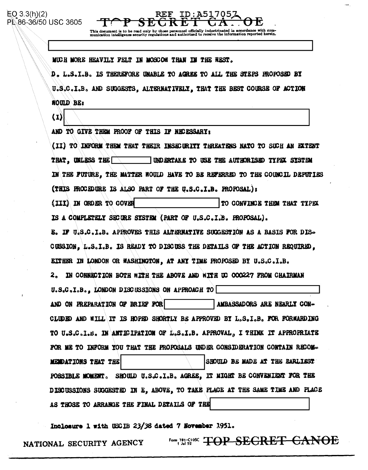This document is to be read only by those personnel<br>munication intelligence security regulations and autho information reported herein.

**REF ID:A51705** 

MUCH MORE HEAVILY FELT IN MOSCOW THAN IN THE WEST.

ゞドゼ

D. L.S.I.B. IS THEREFORE UNABLE TO AGREE TO ALL THE STEPS PROPOSED BY U.S.C.I.B. AND SUGGESTS. ALTERNATIVELY. THAT THE BEST COURSE OF ACTION **NOULD BE:** 

 $\bf(1)$ 

AND TO GIVE THEM PROOF OF THIS IF NECESSARY:

(II) TO INFORM THEM THAT THEIR INSECURITY THREATENS NATO TO SUCH AN EXTENT **UNDERTAKE TO USE THE AUTHORISED TYPEX SYSTEM THAT. UNLESS THE** IN THE FUTURE, THE MATTER WOULD HAVE TO BE REFERRED TO THE COUNCIL DEPUTIES (THIS FROCEDURE IS ALSO PART OF THE U.S.C.I.B. FROPOSAL): (III) IN ORDER TO COVER TO CONVINCE THEM THAT TYPEX IS A COMPLETELY SECURE SYSTEM (PART OF U.S.C.I.B. PROPOSAL). E. IF U.S.C.I.B. APPROVES THIS ALTERNATIVE SUGGESTION AS A BASIS FOR DIS-CUSSION, L.S.I.B. IS READY TO DISCUSS THE DETAILS OF THE ACTION REQUIRED. EITHER IN LONDON OR WASHINGTON, AT ANY TIME PROPOSED BY U.S.C.I.B.

2. IN CONNECTION BOTH WITH THE ABOVE AND WITH UC 000227 FROM CHAIRMAN

U.S.C.I.B., LONDON DISCUSSIONS ON APPROACH TO AND ON PREPARATION OF BRIEF FOR AMBASSADORS ARE NEARLY CON-CLUDED AND WILL IT IS HOPED SHORTLY BE APPROVED BY L.S.I.B. FOR FORWARDING TO U.S.C.I.B. IN ANTIGIPATION OF L.S.I.B. APPROVAL, I THINK IT APPROPRIATE FOR ME TO INFORM YOU THAT THE PROPOSALS UNDER CONSIDERATION CONTAIN RECOM-MENDATIONS THAT THE SHOULD BE MADE AT THE EARLIEST POSSIBLE MOMENT. SHOULD U.S.C.I.B. AGREE, IT NIGHT BE CONVENIENT FOR THE DISCUSSIONS SUGGESTED IN E. ABOVE, TO TAKE PLACE AT THE SAME TIME AND PLACE AS THOSE TO ARRANGE THE FINAL DETAILS OF THE

Inclosure 1 with USCIB 23/38 dated 7 November 1951.

**Form 781-C108C TOP SEGRET GANOE** NATIONAL SECURITY AGENCY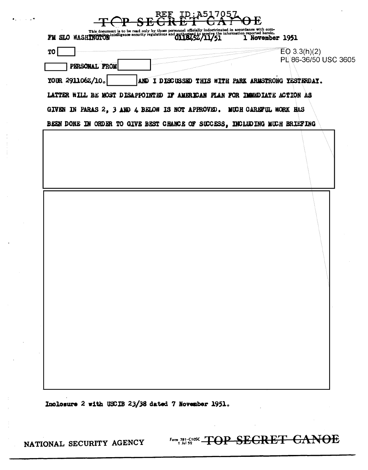## $m$  or  $R$ <sup>RF</sup>,  $IP$ ; A517057

| V                                                                                                                                                                                                                                    | <b>UL</b>            |  |  |  |  |  |  |  |  |
|--------------------------------------------------------------------------------------------------------------------------------------------------------------------------------------------------------------------------------------|----------------------|--|--|--|--|--|--|--|--|
| This document is to be read only by those personnel officially indoctrinated in accordance with com-<br>FH SIO WASHINGIUM intelligence security regulations and authorized to receive the information reported herein.<br>0118452/11 | 1 November 1951      |  |  |  |  |  |  |  |  |
| <b>TO</b>                                                                                                                                                                                                                            | EO 3.3(h)(2)         |  |  |  |  |  |  |  |  |
| PERSONAL FROM                                                                                                                                                                                                                        | PL 86-36/50 USC 3605 |  |  |  |  |  |  |  |  |
| YOUR 291106Z/10.<br>AND I DISCUSSED THIS WITH PARK ARMSTRONG YESTERDAY.                                                                                                                                                              |                      |  |  |  |  |  |  |  |  |
| LATTER WILL BE MOST DISAPPOINTED IF AMERICAN PLAN FOR IMMEDIATE ACTION AS                                                                                                                                                            |                      |  |  |  |  |  |  |  |  |
| GIVEN IN PARAS 2, 3 AND 4 BELOW IS NOT APPROVED. MUCH CAREFUL WORK HAS<br>BEEN DONE IN ORDER TO GIVE BEST CHANCE OF SUCCESS, INCLUDING MUCH BRIEFING                                                                                 |                      |  |  |  |  |  |  |  |  |
|                                                                                                                                                                                                                                      |                      |  |  |  |  |  |  |  |  |
|                                                                                                                                                                                                                                      |                      |  |  |  |  |  |  |  |  |

Inclosure 2 with USCIB 23/38 dated 7 November 1951.

NATIONAL SECURITY AGENCY

في باري

Form 781-C10SC TOP SECRET CANOE